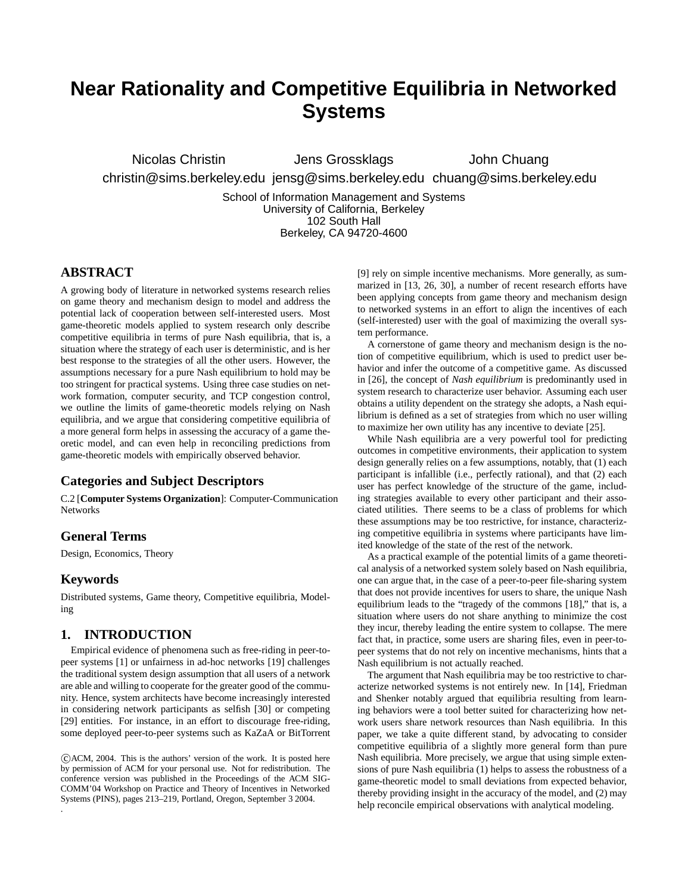# **Near Rationality and Competitive Equilibria in Networked Systems**

Nicolas Christin

Jens Grossklags

John Chuang

christin@sims.berkeley.edu jensg@sims.berkeley.edu chuang@sims.berkeley.edu

School of Information Management and Systems University of California, Berkeley 102 South Hall Berkeley, CA 94720-4600

# **ABSTRACT**

A growing body of literature in networked systems research relies on game theory and mechanism design to model and address the potential lack of cooperation between self-interested users. Most game-theoretic models applied to system research only describe competitive equilibria in terms of pure Nash equilibria, that is, a situation where the strategy of each user is deterministic, and is her best response to the strategies of all the other users. However, the assumptions necessary for a pure Nash equilibrium to hold may be too stringent for practical systems. Using three case studies on network formation, computer security, and TCP congestion control, we outline the limits of game-theoretic models relying on Nash equilibria, and we argue that considering competitive equilibria of a more general form helps in assessing the accuracy of a game theoretic model, and can even help in reconciling predictions from game-theoretic models with empirically observed behavior.

## **Categories and Subject Descriptors**

C.2 [**Computer Systems Organization**]: Computer-Communication Networks

# **General Terms**

Design, Economics, Theory

## **Keywords**

Distributed systems, Game theory, Competitive equilibria, Modeling

## **1. INTRODUCTION**

Empirical evidence of phenomena such as free-riding in peer-topeer systems [1] or unfairness in ad-hoc networks [19] challenges the traditional system design assumption that all users of a network are able and willing to cooperate for the greater good of the community. Hence, system architects have become increasingly interested in considering network participants as selfish [30] or competing [29] entities. For instance, in an effort to discourage free-riding, some deployed peer-to-peer systems such as KaZaA or BitTorrent

[9] rely on simple incentive mechanisms. More generally, as summarized in [13, 26, 30], a number of recent research efforts have been applying concepts from game theory and mechanism design to networked systems in an effort to align the incentives of each (self-interested) user with the goal of maximizing the overall system performance.

A cornerstone of game theory and mechanism design is the notion of competitive equilibrium, which is used to predict user behavior and infer the outcome of a competitive game. As discussed in [26], the concept of *Nash equilibrium* is predominantly used in system research to characterize user behavior. Assuming each user obtains a utility dependent on the strategy she adopts, a Nash equilibrium is defined as a set of strategies from which no user willing to maximize her own utility has any incentive to deviate [25].

While Nash equilibria are a very powerful tool for predicting outcomes in competitive environments, their application to system design generally relies on a few assumptions, notably, that (1) each participant is infallible (i.e., perfectly rational), and that (2) each user has perfect knowledge of the structure of the game, including strategies available to every other participant and their associated utilities. There seems to be a class of problems for which these assumptions may be too restrictive, for instance, characterizing competitive equilibria in systems where participants have limited knowledge of the state of the rest of the network.

As a practical example of the potential limits of a game theoretical analysis of a networked system solely based on Nash equilibria, one can argue that, in the case of a peer-to-peer file-sharing system that does not provide incentives for users to share, the unique Nash equilibrium leads to the "tragedy of the commons [18]," that is, a situation where users do not share anything to minimize the cost they incur, thereby leading the entire system to collapse. The mere fact that, in practice, some users are sharing files, even in peer-topeer systems that do not rely on incentive mechanisms, hints that a Nash equilibrium is not actually reached.

The argument that Nash equilibria may be too restrictive to characterize networked systems is not entirely new. In [14], Friedman and Shenker notably argued that equilibria resulting from learning behaviors were a tool better suited for characterizing how network users share network resources than Nash equilibria. In this paper, we take a quite different stand, by advocating to consider competitive equilibria of a slightly more general form than pure Nash equilibria. More precisely, we argue that using simple extensions of pure Nash equilibria (1) helps to assess the robustness of a game-theoretic model to small deviations from expected behavior, thereby providing insight in the accuracy of the model, and (2) may help reconcile empirical observations with analytical modeling.

c ACM, 2004. This is the authors' version of the work. It is posted here by permission of ACM for your personal use. Not for redistribution. The conference version was published in the Proceedings of the ACM SIG-COMM'04 Workshop on Practice and Theory of Incentives in Networked Systems (PINS), pages 213–219, Portland, Oregon, September 3 2004. .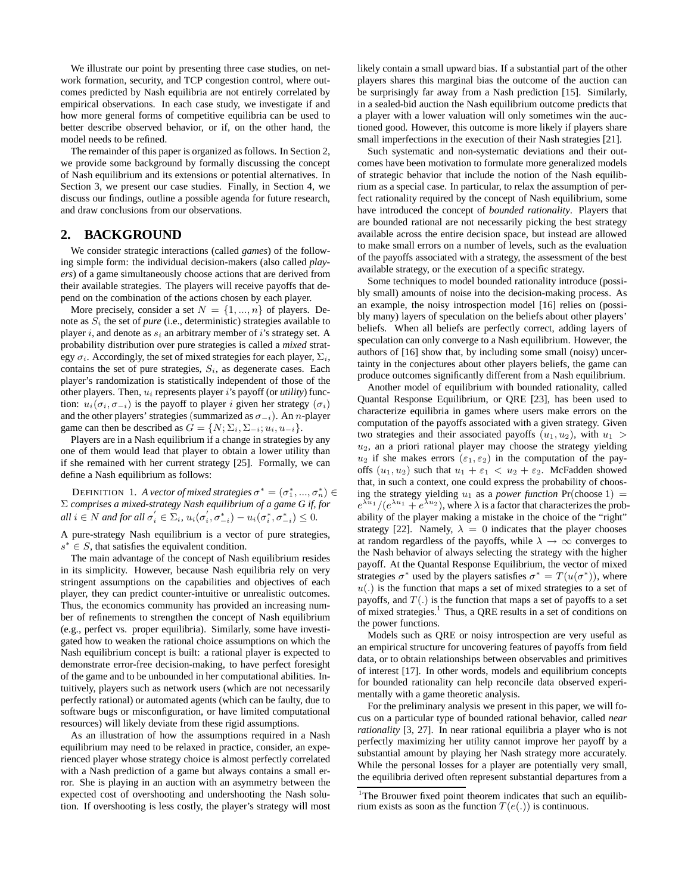We illustrate our point by presenting three case studies, on network formation, security, and TCP congestion control, where outcomes predicted by Nash equilibria are not entirely correlated by empirical observations. In each case study, we investigate if and how more general forms of competitive equilibria can be used to better describe observed behavior, or if, on the other hand, the model needs to be refined.

The remainder of this paper is organized as follows. In Section 2, we provide some background by formally discussing the concept of Nash equilibrium and its extensions or potential alternatives. In Section 3, we present our case studies. Finally, in Section 4, we discuss our findings, outline a possible agenda for future research, and draw conclusions from our observations.

## **2. BACKGROUND**

We consider strategic interactions (called *games*) of the following simple form: the individual decision-makers (also called *players*) of a game simultaneously choose actions that are derived from their available strategies. The players will receive payoffs that depend on the combination of the actions chosen by each player.

More precisely, consider a set  $N = \{1, ..., n\}$  of players. Denote as  $S_i$  the set of *pure* (i.e., deterministic) strategies available to player i, and denote as  $s_i$  an arbitrary member of i's strategy set. A probability distribution over pure strategies is called a *mixed* strategy  $\sigma_i$ . Accordingly, the set of mixed strategies for each player,  $\Sigma_i$ , contains the set of pure strategies,  $S_i$ , as degenerate cases. Each player's randomization is statistically independent of those of the other players. Then, u<sup>i</sup> represents player i's payoff (or *utility*) function:  $u_i(\sigma_i, \sigma_{-i})$  is the payoff to player i given her strategy  $(\sigma_i)$ and the other players' strategies (summarized as  $\sigma_{-i}$ ). An n-player game can then be described as  $G = \{N; \Sigma_i, \Sigma_{-i}; u_i, u_{-i}\}.$ 

Players are in a Nash equilibrium if a change in strategies by any one of them would lead that player to obtain a lower utility than if she remained with her current strategy [25]. Formally, we can define a Nash equilibrium as follows:

DEFINITION 1. *A vector of mixed strategies*  $\sigma^* = (\sigma_1^*,...,\sigma_n^*) \in$ Σ *comprises a mixed-strategy Nash equilibrium of a game G if, for*  $all \ i \in N \ and \ for \ all \ \sigma_i' \in \Sigma_i, \ u_i(\sigma_i')$  $u'_{i}, \sigma_{-i}^{*}) - u_{i}(\sigma_{i}^{*}, \sigma_{-i}^{*}) \leq 0.$ 

A pure-strategy Nash equilibrium is a vector of pure strategies,  $s^* \in S$ , that satisfies the equivalent condition.

The main advantage of the concept of Nash equilibrium resides in its simplicity. However, because Nash equilibria rely on very stringent assumptions on the capabilities and objectives of each player, they can predict counter-intuitive or unrealistic outcomes. Thus, the economics community has provided an increasing number of refinements to strengthen the concept of Nash equilibrium (e.g., perfect vs. proper equilibria). Similarly, some have investigated how to weaken the rational choice assumptions on which the Nash equilibrium concept is built: a rational player is expected to demonstrate error-free decision-making, to have perfect foresight of the game and to be unbounded in her computational abilities. Intuitively, players such as network users (which are not necessarily perfectly rational) or automated agents (which can be faulty, due to software bugs or misconfiguration, or have limited computational resources) will likely deviate from these rigid assumptions.

As an illustration of how the assumptions required in a Nash equilibrium may need to be relaxed in practice, consider, an experienced player whose strategy choice is almost perfectly correlated with a Nash prediction of a game but always contains a small error. She is playing in an auction with an asymmetry between the expected cost of overshooting and undershooting the Nash solution. If overshooting is less costly, the player's strategy will most likely contain a small upward bias. If a substantial part of the other players shares this marginal bias the outcome of the auction can be surprisingly far away from a Nash prediction [15]. Similarly, in a sealed-bid auction the Nash equilibrium outcome predicts that a player with a lower valuation will only sometimes win the auctioned good. However, this outcome is more likely if players share small imperfections in the execution of their Nash strategies [21].

Such systematic and non-systematic deviations and their outcomes have been motivation to formulate more generalized models of strategic behavior that include the notion of the Nash equilibrium as a special case. In particular, to relax the assumption of perfect rationality required by the concept of Nash equilibrium, some have introduced the concept of *bounded rationality*. Players that are bounded rational are not necessarily picking the best strategy available across the entire decision space, but instead are allowed to make small errors on a number of levels, such as the evaluation of the payoffs associated with a strategy, the assessment of the best available strategy, or the execution of a specific strategy.

Some techniques to model bounded rationality introduce (possibly small) amounts of noise into the decision-making process. As an example, the noisy introspection model [16] relies on (possibly many) layers of speculation on the beliefs about other players' beliefs. When all beliefs are perfectly correct, adding layers of speculation can only converge to a Nash equilibrium. However, the authors of [16] show that, by including some small (noisy) uncertainty in the conjectures about other players beliefs, the game can produce outcomes significantly different from a Nash equilibrium.

Another model of equilibrium with bounded rationality, called Quantal Response Equilibrium, or QRE [23], has been used to characterize equilibria in games where users make errors on the computation of the payoffs associated with a given strategy. Given two strategies and their associated payoffs  $(u_1, u_2)$ , with  $u_1 >$  $u_2$ , an a priori rational player may choose the strategy yielding  $u_2$  if she makes errors  $(\varepsilon_1, \varepsilon_2)$  in the computation of the payoffs  $(u_1, u_2)$  such that  $u_1 + \varepsilon_1 < u_2 + \varepsilon_2$ . McFadden showed that, in such a context, one could express the probability of choosing the strategy yielding  $u_1$  as a *power function*  $Pr(\text{choose } 1)$  =  $e^{\lambda u_1}/(e^{\lambda u_1}+e^{\lambda u_2})$ , where  $\lambda$  is a factor that characterizes the probability of the player making a mistake in the choice of the "right" strategy [22]. Namely,  $\lambda = 0$  indicates that the player chooses at random regardless of the payoffs, while  $\lambda \rightarrow \infty$  converges to the Nash behavior of always selecting the strategy with the higher payoff. At the Quantal Response Equilibrium, the vector of mixed strategies  $\sigma^*$  used by the players satisfies  $\sigma^* = T(u(\sigma^*))$ , where  $u(.)$  is the function that maps a set of mixed strategies to a set of payoffs, and  $T(.)$  is the function that maps a set of payoffs to a set of mixed strategies.<sup>1</sup> Thus, a QRE results in a set of conditions on the power functions.

Models such as QRE or noisy introspection are very useful as an empirical structure for uncovering features of payoffs from field data, or to obtain relationships between observables and primitives of interest [17]. In other words, models and equilibrium concepts for bounded rationality can help reconcile data observed experimentally with a game theoretic analysis.

For the preliminary analysis we present in this paper, we will focus on a particular type of bounded rational behavior, called *near rationality* [3, 27]. In near rational equilibria a player who is not perfectly maximizing her utility cannot improve her payoff by a substantial amount by playing her Nash strategy more accurately. While the personal losses for a player are potentially very small, the equilibria derived often represent substantial departures from a

<sup>&</sup>lt;sup>1</sup>The Brouwer fixed point theorem indicates that such an equilibrium exists as soon as the function  $T(e(.))$  is continuous.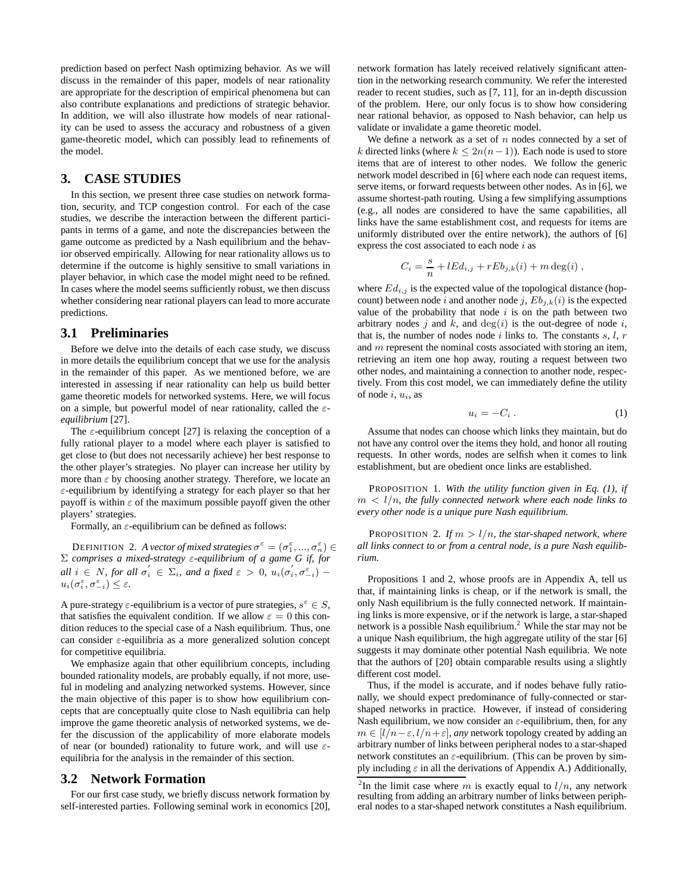prediction based on perfect Nash optimizing behavior. As we will discuss in the remainder of this paper, models of near rationality are appropriate for the description of empirical phenomena but can also contribute explanations and predictions of strategic behavior. In addition, we will also illustrate how models of near rationality can be used to assess the accuracy and robustness of a given game-theoretic model, which can possibly lead to refinements of the model.

## **3. CASE STUDIES**

In this section, we present three case studies on network formation, security, and TCP congestion control. For each of the case studies, we describe the interaction between the different participants in terms of a game, and note the discrepancies between the game outcome as predicted by a Nash equilibrium and the behavior observed empirically. Allowing for near rationality allows us to determine if the outcome is highly sensitive to small variations in player behavior, in which case the model might need to be refined. In cases where the model seems sufficiently robust, we then discuss whether considering near rational players can lead to more accurate predictions.

#### **3.1 Preliminaries**

Before we delve into the details of each case study, we discuss in more details the equilibrium concept that we use for the analysis in the remainder of this paper. As we mentioned before, we are interested in assessing if near rationality can help us build better game theoretic models for networked systems. Here, we will focus on a simple, but powerful model of near rationality, called the ε*equilibrium* [27].

The  $\varepsilon$ -equilibrium concept [27] is relaxing the conception of a fully rational player to a model where each player is satisfied to get close to (but does not necessarily achieve) her best response to the other player's strategies. No player can increase her utility by more than  $\varepsilon$  by choosing another strategy. Therefore, we locate an ε-equilibrium by identifying a strategy for each player so that her payoff is within  $\varepsilon$  of the maximum possible payoff given the other players' strategies.

Formally, an  $\varepsilon$ -equilibrium can be defined as follows:

DEFINITION 2. *A vector of mixed strategies*  $\sigma^{\varepsilon} = (\sigma_1^{\varepsilon}, ..., \sigma_n^{\varepsilon}) \in$ Σ *comprises a mixed-strategy* ε*-equilibrium of a game G if, for all*  $i \in N$ , for all  $\sigma'_i \in \Sigma_i$ , and a fixed  $\varepsilon > 0$ ,  $u_i(\sigma'_i)$  $\sigma_{-i}^{'} ) \,$  $u_i(\sigma_i^{\varepsilon}, \sigma_{-i}^{\varepsilon}) \leq \varepsilon.$ 

A pure-strategy  $\varepsilon$ -equilibrium is a vector of pure strategies,  $s^{\varepsilon} \in S$ , that satisfies the equivalent condition. If we allow  $\varepsilon = 0$  this condition reduces to the special case of a Nash equilibrium. Thus, one can consider ε-equilibria as a more generalized solution concept for competitive equilibria.

We emphasize again that other equilibrium concepts, including bounded rationality models, are probably equally, if not more, useful in modeling and analyzing networked systems. However, since the main objective of this paper is to show how equilibrium concepts that are conceptually quite close to Nash equilibria can help improve the game theoretic analysis of networked systems, we defer the discussion of the applicability of more elaborate models of near (or bounded) rationality to future work, and will use  $\varepsilon$ equilibria for the analysis in the remainder of this section.

#### **3.2 Network Formation**

For our first case study, we briefly discuss network formation by self-interested parties. Following seminal work in economics [20], network formation has lately received relatively significant attention in the networking research community. We refer the interested reader to recent studies, such as [7, 11], for an in-depth discussion of the problem. Here, our only focus is to show how considering near rational behavior, as opposed to Nash behavior, can help us validate or invalidate a game theoretic model.

We define a network as a set of  $n$  nodes connected by a set of k directed links (where  $k \leq 2n(n-1)$ ). Each node is used to store items that are of interest to other nodes. We follow the generic network model described in [6] where each node can request items, serve items, or forward requests between other nodes. As in [6], we assume shortest-path routing. Using a few simplifying assumptions (e.g., all nodes are considered to have the same capabilities, all links have the same establishment cost, and requests for items are uniformly distributed over the entire network), the authors of [6] express the cost associated to each node  $i$  as

$$
C_i = \frac{s}{n} + lEd_{i,j} + rEb_{j,k}(i) + m\deg(i) ,
$$

where  $Ed_{i,j}$  is the expected value of the topological distance (hopcount) between node i and another node j,  $Eb_{i,k}(i)$  is the expected value of the probability that node  $i$  is on the path between two arbitrary nodes j and k, and  $deg(i)$  is the out-degree of node i, that is, the number of nodes node  $i$  links to. The constants  $s, l, r$ and m represent the nominal costs associated with storing an item, retrieving an item one hop away, routing a request between two other nodes, and maintaining a connection to another node, respectively. From this cost model, we can immediately define the utility of node  $i, u_i$ , as

$$
u_i = -C_i \tag{1}
$$

Assume that nodes can choose which links they maintain, but do not have any control over the items they hold, and honor all routing requests. In other words, nodes are selfish when it comes to link establishment, but are obedient once links are established.

PROPOSITION 1. *With the utility function given in Eq. (1), if*  $m < l/n$ , the fully connected network where each node links to *every other node is a unique pure Nash equilibrium.*

PROPOSITION 2. If  $m > l/n$ , the star-shaped network, where *all links connect to or from a central node, is a pure Nash equilibrium.*

Propositions 1 and 2, whose proofs are in Appendix A, tell us that, if maintaining links is cheap, or if the network is small, the only Nash equilibrium is the fully connected network. If maintaining links is more expensive, or if the network is large, a star-shaped network is a possible Nash equilibrium.<sup>2</sup> While the star may not be a unique Nash equilibrium, the high aggregate utility of the star [6] suggests it may dominate other potential Nash equilibria. We note that the authors of [20] obtain comparable results using a slightly different cost model.

Thus, if the model is accurate, and if nodes behave fully rationally, we should expect predominance of fully-connected or starshaped networks in practice. However, if instead of considering Nash equilibrium, we now consider an  $\varepsilon$ -equilibrium, then, for any  $m \in [l/n-\varepsilon, l/n+\varepsilon]$ , *any* network topology created by adding an arbitrary number of links between peripheral nodes to a star-shaped network constitutes an  $\varepsilon$ -equilibrium. (This can be proven by simply including  $\varepsilon$  in all the derivations of Appendix A.) Additionally,

<sup>&</sup>lt;sup>2</sup>In the limit case where m is exactly equal to  $l/n$ , any network resulting from adding an arbitrary number of links between peripheral nodes to a star-shaped network constitutes a Nash equilibrium.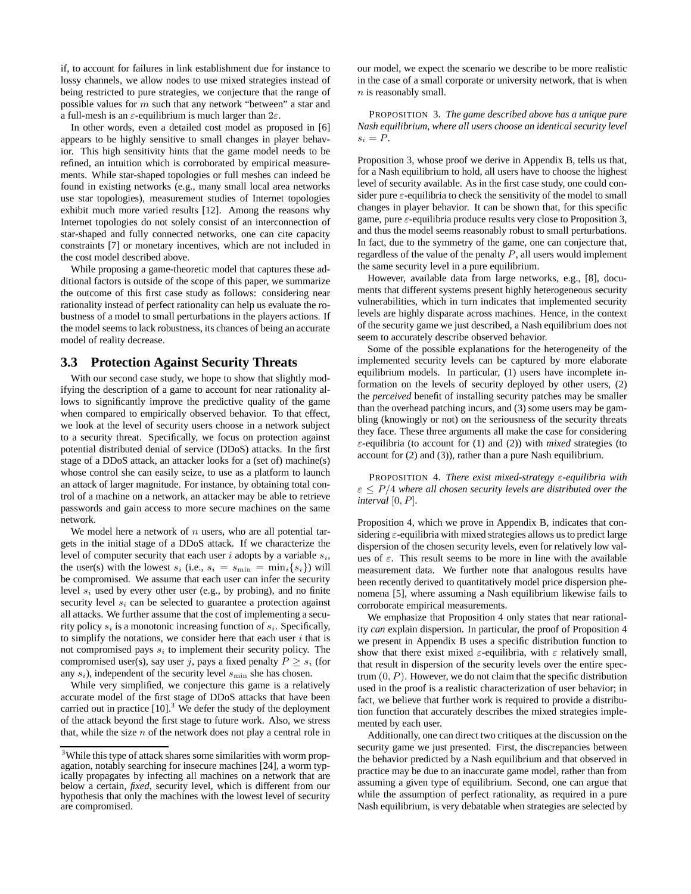if, to account for failures in link establishment due for instance to lossy channels, we allow nodes to use mixed strategies instead of being restricted to pure strategies, we conjecture that the range of possible values for m such that any network "between" a star and a full-mesh is an  $\varepsilon$ -equilibrium is much larger than  $2\varepsilon$ .

In other words, even a detailed cost model as proposed in [6] appears to be highly sensitive to small changes in player behavior. This high sensitivity hints that the game model needs to be refined, an intuition which is corroborated by empirical measurements. While star-shaped topologies or full meshes can indeed be found in existing networks (e.g., many small local area networks use star topologies), measurement studies of Internet topologies exhibit much more varied results [12]. Among the reasons why Internet topologies do not solely consist of an interconnection of star-shaped and fully connected networks, one can cite capacity constraints [7] or monetary incentives, which are not included in the cost model described above.

While proposing a game-theoretic model that captures these additional factors is outside of the scope of this paper, we summarize the outcome of this first case study as follows: considering near rationality instead of perfect rationality can help us evaluate the robustness of a model to small perturbations in the players actions. If the model seems to lack robustness, its chances of being an accurate model of reality decrease.

#### **3.3 Protection Against Security Threats**

With our second case study, we hope to show that slightly modifying the description of a game to account for near rationality allows to significantly improve the predictive quality of the game when compared to empirically observed behavior. To that effect, we look at the level of security users choose in a network subject to a security threat. Specifically, we focus on protection against potential distributed denial of service (DDoS) attacks. In the first stage of a DDoS attack, an attacker looks for a (set of) machine(s) whose control she can easily seize, to use as a platform to launch an attack of larger magnitude. For instance, by obtaining total control of a machine on a network, an attacker may be able to retrieve passwords and gain access to more secure machines on the same network.

We model here a network of  $n$  users, who are all potential targets in the initial stage of a DDoS attack. If we characterize the level of computer security that each user  $i$  adopts by a variable  $s_i$ , the user(s) with the lowest  $s_i$  (i.e.,  $s_i = s_{\min} = \min_i \{ s_i \}$ ) will be compromised. We assume that each user can infer the security level  $s_i$  used by every other user (e.g., by probing), and no finite security level  $s_i$  can be selected to guarantee a protection against all attacks. We further assume that the cost of implementing a security policy  $s_i$  is a monotonic increasing function of  $s_i$ . Specifically, to simplify the notations, we consider here that each user  $i$  that is not compromised pays  $s_i$  to implement their security policy. The compromised user(s), say user j, pays a fixed penalty  $P \geq s_i$  (for any  $s_i$ ), independent of the security level  $s_{\text{min}}$  she has chosen.

While very simplified, we conjecture this game is a relatively accurate model of the first stage of DDoS attacks that have been carried out in practice  $[10]$ <sup>3</sup>. We defer the study of the deployment of the attack beyond the first stage to future work. Also, we stress that, while the size  $n$  of the network does not play a central role in our model, we expect the scenario we describe to be more realistic in the case of a small corporate or university network, that is when  $n$  is reasonably small.

PROPOSITION 3. *The game described above has a unique pure Nash equilibrium, where all users choose an identical security level*  $s_i = P$ .

Proposition 3, whose proof we derive in Appendix B, tells us that, for a Nash equilibrium to hold, all users have to choose the highest level of security available. As in the first case study, one could consider pure  $\varepsilon$ -equilibria to check the sensitivity of the model to small changes in player behavior. It can be shown that, for this specific game, pure  $\varepsilon$ -equilibria produce results very close to Proposition 3, and thus the model seems reasonably robust to small perturbations. In fact, due to the symmetry of the game, one can conjecture that, regardless of the value of the penalty  $P$ , all users would implement the same security level in a pure equilibrium.

However, available data from large networks, e.g., [8], documents that different systems present highly heterogeneous security vulnerabilities, which in turn indicates that implemented security levels are highly disparate across machines. Hence, in the context of the security game we just described, a Nash equilibrium does not seem to accurately describe observed behavior.

Some of the possible explanations for the heterogeneity of the implemented security levels can be captured by more elaborate equilibrium models. In particular, (1) users have incomplete information on the levels of security deployed by other users, (2) the *perceived* benefit of installing security patches may be smaller than the overhead patching incurs, and (3) some users may be gambling (knowingly or not) on the seriousness of the security threats they face. These three arguments all make the case for considering ε-equilibria (to account for (1) and (2)) with *mixed* strategies (to account for (2) and (3)), rather than a pure Nash equilibrium.

PROPOSITION 4. *There exist mixed-strategy* ε*-equilibria with* ε ≤ P/4 *where all chosen security levels are distributed over the interval* [0, P]*.*

Proposition 4, which we prove in Appendix B, indicates that considering  $\varepsilon$ -equilibria with mixed strategies allows us to predict large dispersion of the chosen security levels, even for relatively low values of  $\varepsilon$ . This result seems to be more in line with the available measurement data. We further note that analogous results have been recently derived to quantitatively model price dispersion phenomena [5], where assuming a Nash equilibrium likewise fails to corroborate empirical measurements.

We emphasize that Proposition 4 only states that near rationality *can* explain dispersion. In particular, the proof of Proposition 4 we present in Appendix B uses a specific distribution function to show that there exist mixed  $\varepsilon$ -equilibria, with  $\varepsilon$  relatively small, that result in dispersion of the security levels over the entire spectrum  $(0, P)$ . However, we do not claim that the specific distribution used in the proof is a realistic characterization of user behavior; in fact, we believe that further work is required to provide a distribution function that accurately describes the mixed strategies implemented by each user.

Additionally, one can direct two critiques at the discussion on the security game we just presented. First, the discrepancies between the behavior predicted by a Nash equilibrium and that observed in practice may be due to an inaccurate game model, rather than from assuming a given type of equilibrium. Second, one can argue that while the assumption of perfect rationality, as required in a pure Nash equilibrium, is very debatable when strategies are selected by

<sup>3</sup>While this type of attack shares some similarities with worm propagation, notably searching for insecure machines [24], a worm typically propagates by infecting all machines on a network that are below a certain, *fixed*, security level, which is different from our hypothesis that only the machines with the lowest level of security are compromised.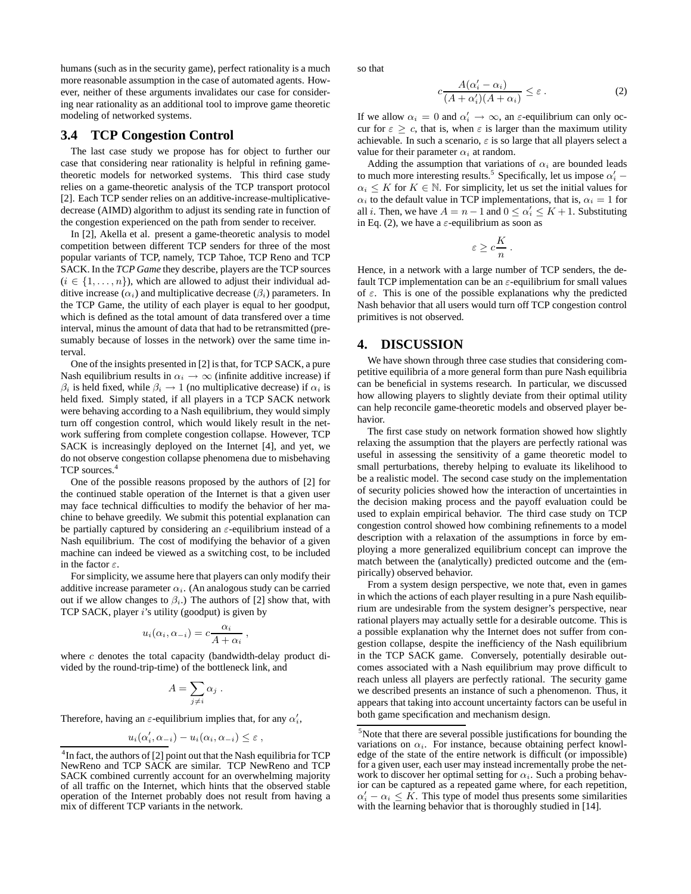humans (such as in the security game), perfect rationality is a much more reasonable assumption in the case of automated agents. However, neither of these arguments invalidates our case for considering near rationality as an additional tool to improve game theoretic modeling of networked systems.

# **3.4 TCP Congestion Control**

The last case study we propose has for object to further our case that considering near rationality is helpful in refining gametheoretic models for networked systems. This third case study relies on a game-theoretic analysis of the TCP transport protocol [2]. Each TCP sender relies on an additive-increase-multiplicativedecrease (AIMD) algorithm to adjust its sending rate in function of the congestion experienced on the path from sender to receiver.

In [2], Akella et al. present a game-theoretic analysis to model competition between different TCP senders for three of the most popular variants of TCP, namely, TCP Tahoe, TCP Reno and TCP SACK. In the *TCP Game* they describe, players are the TCP sources  $(i \in \{1, \ldots, n\})$ , which are allowed to adjust their individual additive increase ( $\alpha_i$ ) and multiplicative decrease ( $\beta_i$ ) parameters. In the TCP Game, the utility of each player is equal to her goodput, which is defined as the total amount of data transfered over a time interval, minus the amount of data that had to be retransmitted (presumably because of losses in the network) over the same time interval.

One of the insights presented in [2] isthat, for TCP SACK, a pure Nash equilibrium results in  $\alpha_i \rightarrow \infty$  (infinite additive increase) if  $\beta_i$  is held fixed, while  $\beta_i \rightarrow 1$  (no multiplicative decrease) if  $\alpha_i$  is held fixed. Simply stated, if all players in a TCP SACK network were behaving according to a Nash equilibrium, they would simply turn off congestion control, which would likely result in the network suffering from complete congestion collapse. However, TCP SACK is increasingly deployed on the Internet [4], and yet, we do not observe congestion collapse phenomena due to misbehaving TCP sources.<sup>4</sup>

One of the possible reasons proposed by the authors of [2] for the continued stable operation of the Internet is that a given user may face technical difficulties to modify the behavior of her machine to behave greedily. We submit this potential explanation can be partially captured by considering an  $\varepsilon$ -equilibrium instead of a Nash equilibrium. The cost of modifying the behavior of a given machine can indeed be viewed as a switching cost, to be included in the factor  $\varepsilon$ .

For simplicity, we assume here that players can only modify their additive increase parameter  $\alpha_i$ . (An analogous study can be carried out if we allow changes to  $\beta_i$ .) The authors of [2] show that, with TCP SACK, player i's utility (goodput) is given by

$$
u_i(\alpha_i, \alpha_{-i}) = c \frac{\alpha_i}{A + \alpha_i} \,,
$$

where c denotes the total capacity (bandwidth-delay product divided by the round-trip-time) of the bottleneck link, and

$$
A = \sum_{j \neq i} \alpha_j .
$$

Therefore, having an  $\varepsilon$ -equilibrium implies that, for any  $\alpha'_i$ ,

$$
u_i(\alpha'_i, \alpha_{-i}) - u_i(\alpha_i, \alpha_{-i}) \leq \varepsilon ,
$$

so that

$$
c \frac{A(\alpha_i' - \alpha_i)}{(A + \alpha_i')(A + \alpha_i)} \le \varepsilon.
$$
 (2)

If we allow  $\alpha_i = 0$  and  $\alpha'_i \to \infty$ , an  $\varepsilon$ -equilibrium can only occur for  $\varepsilon \geq c$ , that is, when  $\varepsilon$  is larger than the maximum utility achievable. In such a scenario,  $\varepsilon$  is so large that all players select a value for their parameter  $\alpha_i$  at random.

Adding the assumption that variations of  $\alpha_i$  are bounded leads to much more interesting results.<sup>5</sup> Specifically, let us impose  $\alpha'_i$  –  $\alpha_i \leq K$  for  $K \in \mathbb{N}$ . For simplicity, let us set the initial values for  $\alpha_i$  to the default value in TCP implementations, that is,  $\alpha_i = 1$  for all *i*. Then, we have  $A = n - 1$  and  $0 \le \alpha'_i \le K + 1$ . Substituting in Eq. (2), we have a  $\varepsilon$ -equilibrium as soon as

$$
\varepsilon \geq c \frac{K}{n} \, .
$$

Hence, in a network with a large number of TCP senders, the default TCP implementation can be an  $\varepsilon$ -equilibrium for small values of  $\varepsilon$ . This is one of the possible explanations why the predicted Nash behavior that all users would turn off TCP congestion control primitives is not observed.

## **4. DISCUSSION**

We have shown through three case studies that considering competitive equilibria of a more general form than pure Nash equilibria can be beneficial in systems research. In particular, we discussed how allowing players to slightly deviate from their optimal utility can help reconcile game-theoretic models and observed player behavior.

The first case study on network formation showed how slightly relaxing the assumption that the players are perfectly rational was useful in assessing the sensitivity of a game theoretic model to small perturbations, thereby helping to evaluate its likelihood to be a realistic model. The second case study on the implementation of security policies showed how the interaction of uncertainties in the decision making process and the payoff evaluation could be used to explain empirical behavior. The third case study on TCP congestion control showed how combining refinements to a model description with a relaxation of the assumptions in force by employing a more generalized equilibrium concept can improve the match between the (analytically) predicted outcome and the (empirically) observed behavior.

From a system design perspective, we note that, even in games in which the actions of each player resulting in a pure Nash equilibrium are undesirable from the system designer's perspective, near rational players may actually settle for a desirable outcome. This is a possible explanation why the Internet does not suffer from congestion collapse, despite the inefficiency of the Nash equilibrium in the TCP SACK game. Conversely, potentially desirable outcomes associated with a Nash equilibrium may prove difficult to reach unless all players are perfectly rational. The security game we described presents an instance of such a phenomenon. Thus, it appears that taking into account uncertainty factors can be useful in both game specification and mechanism design.

<sup>&</sup>lt;sup>4</sup>In fact, the authors of [2] point out that the Nash equilibria for TCP NewReno and TCP SACK are similar. TCP NewReno and TCP SACK combined currently account for an overwhelming majority of all traffic on the Internet, which hints that the observed stable operation of the Internet probably does not result from having a mix of different TCP variants in the network.

<sup>&</sup>lt;sup>5</sup>Note that there are several possible justifications for bounding the variations on  $\alpha_i$ . For instance, because obtaining perfect knowledge of the state of the entire network is difficult (or impossible) for a given user, each user may instead incrementally probe the network to discover her optimal setting for  $\alpha_i$ . Such a probing behavior can be captured as a repeated game where, for each repetition,  $\alpha'_i - \alpha_i \leq \overline{K}$ . This type of model thus presents some similarities with the learning behavior that is thoroughly studied in [14].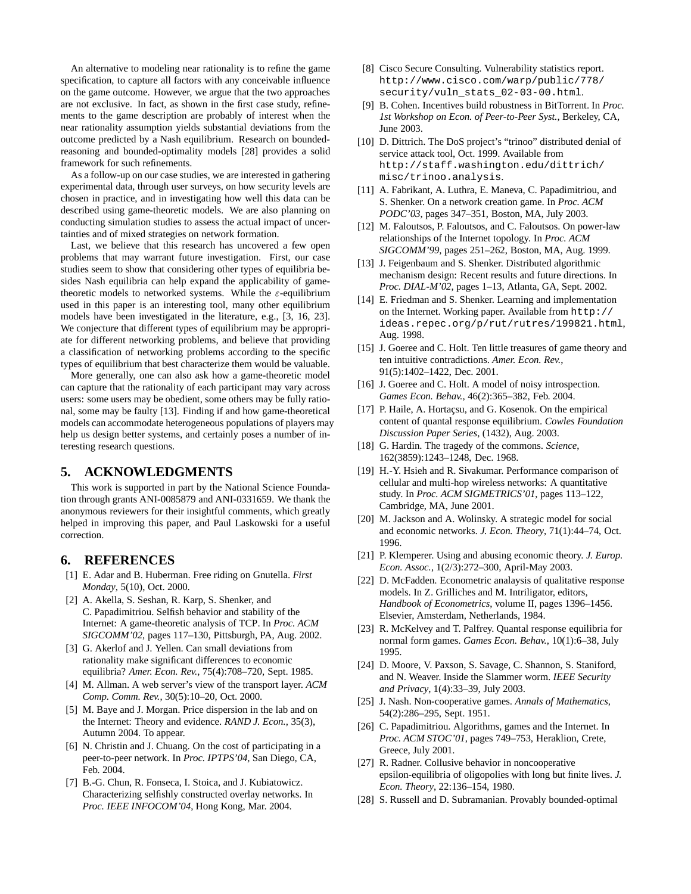An alternative to modeling near rationality is to refine the game specification, to capture all factors with any conceivable influence on the game outcome. However, we argue that the two approaches are not exclusive. In fact, as shown in the first case study, refinements to the game description are probably of interest when the near rationality assumption yields substantial deviations from the outcome predicted by a Nash equilibrium. Research on boundedreasoning and bounded-optimality models [28] provides a solid framework for such refinements.

As a follow-up on our case studies, we are interested in gathering experimental data, through user surveys, on how security levels are chosen in practice, and in investigating how well this data can be described using game-theoretic models. We are also planning on conducting simulation studies to assess the actual impact of uncertainties and of mixed strategies on network formation.

Last, we believe that this research has uncovered a few open problems that may warrant future investigation. First, our case studies seem to show that considering other types of equilibria besides Nash equilibria can help expand the applicability of gametheoretic models to networked systems. While the  $\varepsilon$ -equilibrium used in this paper is an interesting tool, many other equilibrium models have been investigated in the literature, e.g., [3, 16, 23]. We conjecture that different types of equilibrium may be appropriate for different networking problems, and believe that providing a classification of networking problems according to the specific types of equilibrium that best characterize them would be valuable.

More generally, one can also ask how a game-theoretic model can capture that the rationality of each participant may vary across users: some users may be obedient, some others may be fully rational, some may be faulty [13]. Finding if and how game-theoretical models can accommodate heterogeneous populations of players may help us design better systems, and certainly poses a number of interesting research questions.

## **5. ACKNOWLEDGMENTS**

This work is supported in part by the National Science Foundation through grants ANI-0085879 and ANI-0331659. We thank the anonymous reviewers for their insightful comments, which greatly helped in improving this paper, and Paul Laskowski for a useful correction.

## **6. REFERENCES**

- [1] E. Adar and B. Huberman. Free riding on Gnutella. *First Monday*, 5(10), Oct. 2000.
- [2] A. Akella, S. Seshan, R. Karp, S. Shenker, and C. Papadimitriou. Selfish behavior and stability of the Internet: A game-theoretic analysis of TCP. In *Proc. ACM SIGCOMM'02*, pages 117–130, Pittsburgh, PA, Aug. 2002.
- [3] G. Akerlof and J. Yellen. Can small deviations from rationality make significant differences to economic equilibria? *Amer. Econ. Rev.*, 75(4):708–720, Sept. 1985.
- [4] M. Allman. A web server's view of the transport layer. *ACM Comp. Comm. Rev.*, 30(5):10–20, Oct. 2000.
- [5] M. Baye and J. Morgan. Price dispersion in the lab and on the Internet: Theory and evidence. *RAND J. Econ.*, 35(3), Autumn 2004. To appear.
- [6] N. Christin and J. Chuang. On the cost of participating in a peer-to-peer network. In *Proc. IPTPS'04*, San Diego, CA, Feb. 2004.
- [7] B.-G. Chun, R. Fonseca, I. Stoica, and J. Kubiatowicz. Characterizing selfishly constructed overlay networks. In *Proc. IEEE INFOCOM'04*, Hong Kong, Mar. 2004.
- [8] Cisco Secure Consulting. Vulnerability statistics report. http://www.cisco.com/warp/public/778/ security/vuln\_stats\_02-03-00.html.
- [9] B. Cohen. Incentives build robustness in BitTorrent. In *Proc. 1st Workshop on Econ. of Peer-to-Peer Syst.*, Berkeley, CA, June 2003.
- [10] D. Dittrich. The DoS project's "trinoo" distributed denial of service attack tool, Oct. 1999. Available from http://staff.washington.edu/dittrich/ misc/trinoo.analysis.
- [11] A. Fabrikant, A. Luthra, E. Maneva, C. Papadimitriou, and S. Shenker. On a network creation game. In *Proc. ACM PODC'03*, pages 347–351, Boston, MA, July 2003.
- [12] M. Faloutsos, P. Faloutsos, and C. Faloutsos. On power-law relationships of the Internet topology. In *Proc. ACM SIGCOMM'99*, pages 251–262, Boston, MA, Aug. 1999.
- [13] J. Feigenbaum and S. Shenker. Distributed algorithmic mechanism design: Recent results and future directions. In *Proc. DIAL-M'02*, pages 1–13, Atlanta, GA, Sept. 2002.
- [14] E. Friedman and S. Shenker. Learning and implementation on the Internet. Working paper. Available from http:// ideas.repec.org/p/rut/rutres/199821.html, Aug. 1998.
- [15] J. Goeree and C. Holt. Ten little treasures of game theory and ten intuitive contradictions. *Amer. Econ. Rev.*, 91(5):1402–1422, Dec. 2001.
- [16] J. Goeree and C. Holt. A model of noisy introspection. *Games Econ. Behav.*, 46(2):365–382, Feb. 2004.
- [17] P. Haile, A. Hortaçsu, and G. Kosenok. On the empirical content of quantal response equilibrium. *Cowles Foundation Discussion Paper Series*, (1432), Aug. 2003.
- [18] G. Hardin. The tragedy of the commons. *Science*, 162(3859):1243–1248, Dec. 1968.
- [19] H.-Y. Hsieh and R. Sivakumar. Performance comparison of cellular and multi-hop wireless networks: A quantitative study. In *Proc. ACM SIGMETRICS'01*, pages 113–122, Cambridge, MA, June 2001.
- [20] M. Jackson and A. Wolinsky. A strategic model for social and economic networks. *J. Econ. Theory*, 71(1):44–74, Oct. 1996.
- [21] P. Klemperer. Using and abusing economic theory. *J. Europ. Econ. Assoc.*, 1(2/3):272–300, April-May 2003.
- [22] D. McFadden. Econometric analaysis of qualitative response models. In Z. Grilliches and M. Intriligator, editors, *Handbook of Econometrics*, volume II, pages 1396–1456. Elsevier, Amsterdam, Netherlands, 1984.
- [23] R. McKelvey and T. Palfrey. Quantal response equilibria for normal form games. *Games Econ. Behav.*, 10(1):6–38, July 1995.
- [24] D. Moore, V. Paxson, S. Savage, C. Shannon, S. Staniford, and N. Weaver. Inside the Slammer worm. *IEEE Security and Privacy*, 1(4):33–39, July 2003.
- [25] J. Nash. Non-cooperative games. *Annals of Mathematics*, 54(2):286–295, Sept. 1951.
- [26] C. Papadimitriou. Algorithms, games and the Internet. In *Proc. ACM STOC'01*, pages 749–753, Heraklion, Crete, Greece, July 2001.
- [27] R. Radner. Collusive behavior in noncooperative epsilon-equilibria of oligopolies with long but finite lives. *J. Econ. Theory*, 22:136–154, 1980.
- [28] S. Russell and D. Subramanian. Provably bounded-optimal